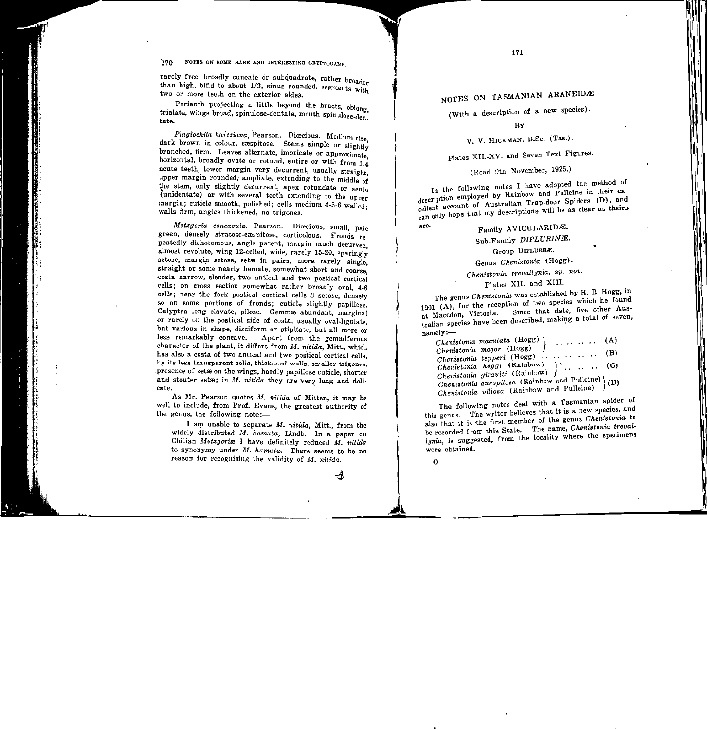171

' ' ' I  $\mathbf{H}$ 

> 111

 $\parallel$ ili

II'

NOTES ON TASMANIAN ARANEIDAE

(With a description of a new species).

**BY** 

V. V. HICKMAN, B.Sc. (Tas.).

Plates XII.-XV. and Seven Text Figures.

(Read 9th November, 1925.)

In the following notes I have adopted the method of description employed by Rainbow and Pulleine in their excellent account of Australian Trap-door Spiders (D), and can only hope that my descriptions will be as clear as theirs

# are.  $F_{\text{amily}}$  AVICULARIDE.

Sub-Family DIPLURINÆ.

Group DIPLUREÆ.

Genus *Chenistonia* (Hogg).

*Chenistonia trevallynia, sp. nov.* 

Plates XII. and XIII.

 The genus *Chenistonia* was established by H. R. Hogg, in 1901  $(A)$ , for the reception of two species which he found  $\frac{1}{2}$  Macedon, Victoria. Since that date, five other Aus $t_{\text{relion}}$  species have been described, making a total of seven, namely:-

*Chenistonia maculata* (Hogg)  $\alpha$ (A)  $\mathbf{1}$  .  $\mathbf{1}$ *Chenistonia major* (Hogg) .  $\int$  ...  $\ldots$  (B) *Chenistonia tepperi* (Hogg) .. *Chenistonia hoggi* (Rainbow) ) \* . . . . . (C) *Chenistonia giraulti* (Rainbow) *Chenistonifl auropilosa* (Rainbow and Pulleine)} (D) *Chenistonia villosa* (Rainbow and Pulleine)

The following notes deal with a Tasmanian spider of this genus. The writer believes that it is a new species, and also that it is the first member of the genus *Chenistonia* to be recorded from this State. The name, *Chenistonia treval*lynia, is suggested, from the locality where the specimens were obtained.

 $\Omega$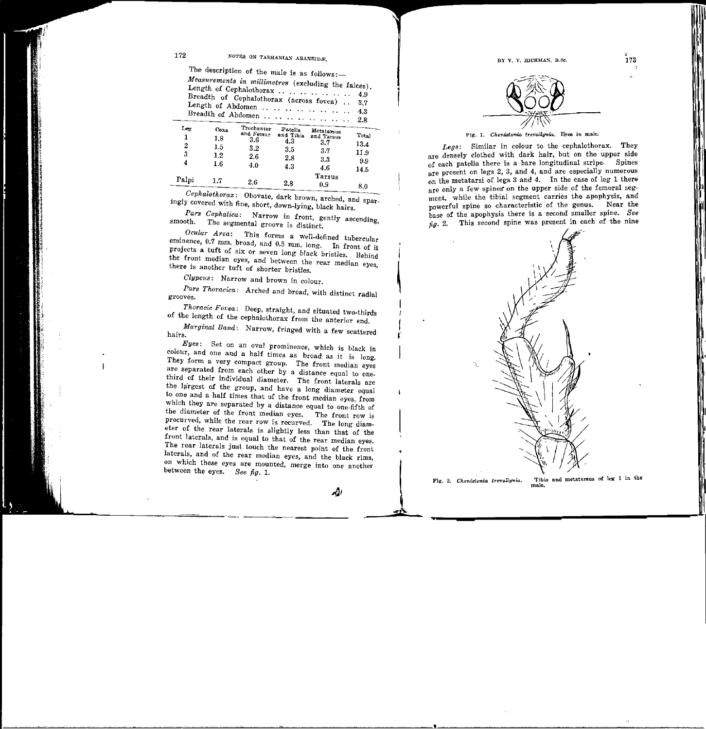$BYY, V. HICKMAN, B.8c.$  173

# 172 NOTES ON TASMANIAN ABANEIDE.

The description of the male is as  $follows:$ 

*Measurements in millimetres* (excluding the falces). Length of Cephalothorax ................... 4.9 Breadth of Cephalothorax (across fovea) . . 3.7 Length of Abdomen .. .. .. .. .. .. .. . 4.3 Breadth -of Abdomen . . . . . . . . . . . . . . 2.8

| ${\rm \bf L_{\rm \bf E}}$ | $C0 \lambda$ | Trochanter | Patella   |                          |       |
|---------------------------|--------------|------------|-----------|--------------------------|-------|
| 1                         | 1.8          | and Femur  | and Tibia | Metatarsus<br>and Tarsus | Total |
| 2                         |              | 3.6        | 4.3       | $_{\rm 3.7}$             | 13.4  |
|                           | 1.5          | $3.2\,$    | 3.5       | 3.7                      | 11.9  |
| 3                         | $1.2\,$      | 2.6        | 2.8       |                          |       |
| 4                         | $1.6\,$      | 4.0        |           | 3.3                      | 9.9   |
|                           |              |            | 4.3       | 4.6                      | 14.5  |
| Palpi                     |              |            |           | Tarsus                   |       |
|                           | 1.7          | 2.6        | 2.8       | 0.9                      | 8.0   |
|                           |              |            |           |                          |       |

 *Cephalothorax:* Obovate, dark brown, arched, and sparingly covered with fine, short, down-lying, black hairs.

*Pars Cephalica:* Narrow in front, gently ascending, smooth. The segmental groove is distinct.

*Ocular Area:* This forms a well-defined tubercular eminence, 0.7 mm. broad, and 0.5 mm. long. In front of it projects a tuft of six or seven long black bristles. Behind the front median eyes, and between the rear median eyes, there is another tuft of shorter bristles.

*Clypeus:* Narrow and brown in colour.

*Pars Thoracica:* Arched and broad, with distinct radial grooves.

*Thoracic Fovea:* Deep, straight, and situated two-thirds of the length of the cephalothorax from the anterior end.

*Marginal Band:* Narrow, fringed with a few scattered hairs.

*Eyes:* Set on an oval prominence, which is black in colour, and one and a half times as broad as it is long. They form a very compact group. The front median eyes are separated from each other by a distance equal to onethird of their individual diameter. The front laterals are the largest of the group, and have a long diameter equal to one and a half times that of the front median eyes, from which they are separated by a distance equal to one-fifth of the diameter of the front median eyes. The front row is procurved, while the rear row is recurved. The long diameter of the rear laterals is slightly less than that of the front laterals, and is equal to that of the rear median eyes. The rear laterals just touch the nearest point of the front laterals, and of the rear median eyes, and the black rims, on which these eyes are mounted, merge into one another between the eyes. *See fig.* 1.

نڭە



Fig. 1. *Chenistonia trevallynia*. Eyes in male.

*Legs:* Similar in colour to the cephalothorax. They are densely clothed with dark hair, but on the upper side of each patella there is a bare longitudinal stripe. Spines are present on legs 2, 3, and 4, and are especially numerous on the metatarsi of legs 3 and 4. In the case of leg 1 there are only a few spines on the upper side of the femoral segment, while the tibial segment carries the apophysis, and powerful spine so characteristic of the genus. Near the base of the apophysis there is a second smaller spine. *See*   $\hat{h}g$ . 2. This second spine was present in each of the nine



I

r

Fig. 2. *Chenistonia trevallynia*. Tibia and metatarsus of leg 1 in the male.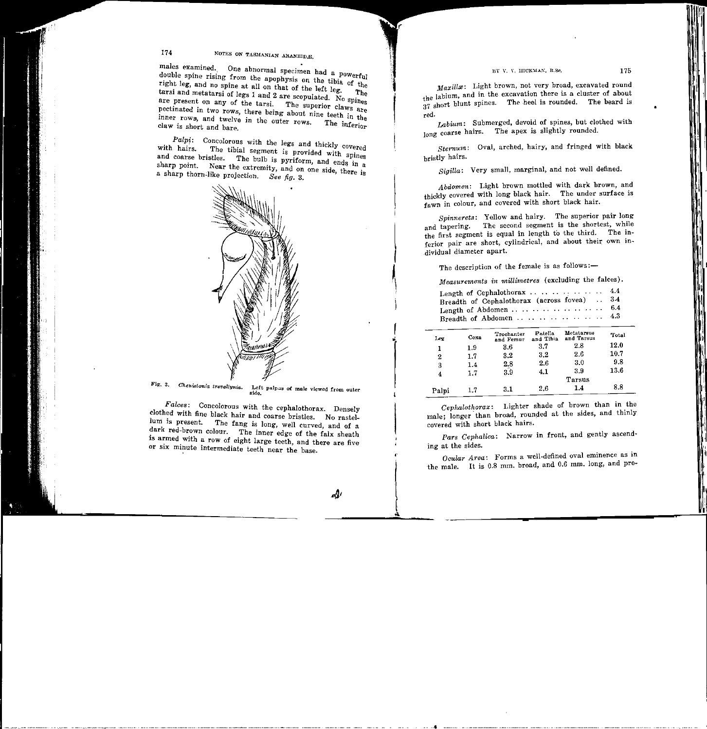#### LY V. V. IIICKMAN, B.Sc. 175

# 174 KOTES ON TASMANIAN ARANEIDAE,

males examined. One abnormal specimen had a powerful double spine rising from the apophysis on the tibia of th right leg, and no spine at all on that of the left leg. The tarsi and metatarsi of legs 1 and 2 are seemble to the tarsi and metatarsi of legs 1 and 2 are scopulated. No spines are present on any of the tarsi. The superior claws are pectinated in two rows, there being about nine teeth in the inner rows, and twelve in the outer rows. The inferior claw is short and bare.

 $Palpi$ : Concolorous with the legs and thickly covered with hairs. The tibial segment is provided with spines with hairs. The tibial segment is provided with spinand coarse bristles. The bulb is pyriform, and ends in sharp point. Near the extremity, and on one side, there is a sharp thorn-like projection, *See fig.* 3.



Fig. 3. *Chenistonia trevallynia*. Left palpus of male viewed from outer side.

*Falces:* Concolorous with the cephalothorax. Densely clothed with fine black hair and coarse bristles. No rastelluni is present. The fang is long, well curved, and of a dark red-brown colour. The inner edge of the falx sheath is armed with a row of eight large teeth, and there are five or six minute intermediate teeth near the base.

*...&t* 

*Maxillæ*: Light brown, not very broad, excavated round the labium, and in the excavation there is a cluster of about 37 short blunt spines. The heel is rounded. The beard is red.

*Labium:* Submerged, devoid of spines, but clothed with long coarse hairs. The apex is slightly rounded.

*Sternum:* Oval, arched, hairy, and fringed with black bristly hairs.

*Sigilla:* Very small, marginal, and not well defined.

*Abdomen:* Light brown mottled with dark brown, and thickly covered with long black hair. The under surface is fawn in colour, and covered with short black hair.

*Spinnerets:* Yellow and hairy. The superior pair long and tapering. The second segment is the shortest, while the first segment is equal in length to the third. The inferior pair are short, cylindrical, and about their own individual diameter apart.

The description of the female is as follows:-

i<br>I

I '

••

I '

,,

i

*Measurements in millimetres* (excluding the falces).

| Length of Cephalothorax  4.4                 |  |
|----------------------------------------------|--|
| Breadth of Cephalothorax (across fovea)  3.4 |  |
|                                              |  |
| Breadth of Abdomen  4.3                      |  |

| Leg   | Coxa    | Trochanter<br>and Femur | Patella<br>and Tibia | Metatarsus<br>and Tarsus | Total |
|-------|---------|-------------------------|----------------------|--------------------------|-------|
| 1     | 1.9     | 3.6                     | 3.7                  | 2.8                      | 12.0  |
| 2     | $1.7\,$ | 3.2                     | $3.2\,$              | 2.6                      | 10.7  |
| 3     | 1.4     | 2.8                     | 2.6                  | 3.0                      | 9.8   |
| 4     | 1.7     | 3.9                     | 4.1                  | 3.9                      | 13.6  |
|       |         |                         |                      | Tarsus                   |       |
| Palpi | 1.7     | $3.1\,$                 | 2.6                  | 1.4                      | 8.8   |

*Cephalothorax:* Lighter shade of brown than in the male; longer than broad, rounded at the sides, and thinly covered with short black hairs.

*Pars Cephalica:* Narrow in front, and gently ascending at the sides.

*Ocular Area:* Forms a well-defined oval eminence as in the male. It is 0.8 mm. broad, and 0.6 mm. long, and pro-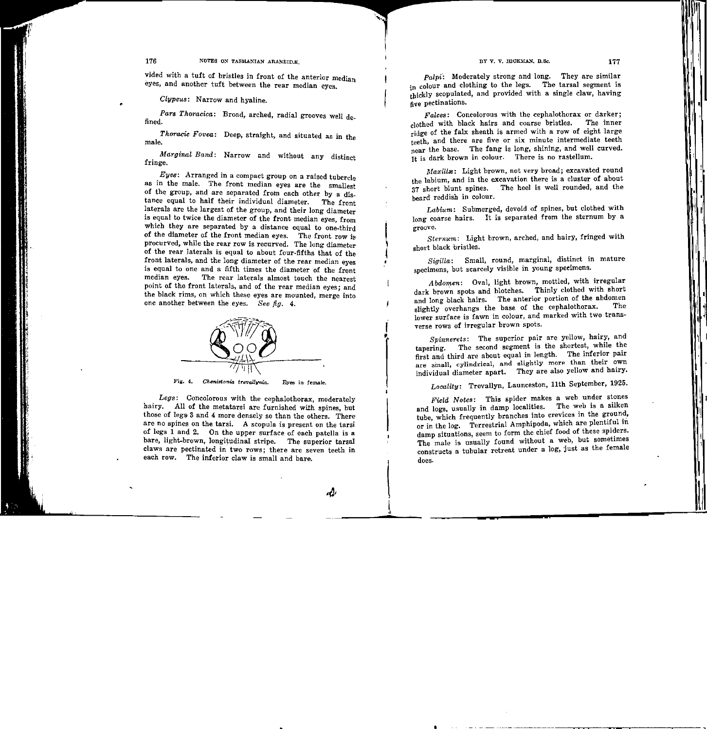vided with a tuft of bristles in front of the anterior median eyes, and another tuft between the rear median eyes.

*Clypeus:* Narrow and hyaline.

*Pars Thoracica:* Broad, arched, radial grooves well defined.

*Thoracic Fovea:* Deep, straight, and situated as in the male.

*Marginal Band:* Narrow and without any distinct fringe.

*Eyes·:* Arranged in a compact group on a raised tubercle as in the male. The front median eyes are the smallest of the group, and are separated from each other by a distance equal to half their individual diameter. The front laterals are the largest of the group, and their long diameter is equal to twice the diameter of the front median eyes, from which they are separated by a distance equal to one-third of the diameter of the front median eyes. The front row is procurved, while the rear row is recurved. The long diameterof the rear laterals is equal to about four-fifths that of the front laterals, and the long diameter of the rear median eyes is equal to one and a fifth times the diameter of the front median eyes. The rear laterals almost touch the nearest point of the front laterals, and of the rear median eyes; and the black rims, on which these eyes are mounted, merge into one another between the eyes. *See fig.* 4.



Fig. 4. *Chenistonia trevallynia*. Eyes in female.

*Legs:* Concolorous with the cephalothorax, moderately hairy. All of the metatarsi are furnished with spines, but those of legs 3 and 4 more densely so than the others. Thereare no spines on the tarsi. A scopula is present on the tarsi of legs 1 and 2. On the upper surface of each patella is a bare, light-brown, longitudinal stripe. The superior tarsal claws are pectinated in. two rows; there are seven teeth in each row. The inferior claw is small and bare.

s(J,

l<br>L

 $\mathsf{L}$ 

I

 $\left| \right|$ 

l<br>List<br>List

 $p<sub>alpi</sub>$ : Moderately strong and long. They are similar in colour and clothing to the legs. The tarsal segment is thickly scopulated, and provided with a single claw, having five pectinations.

*Falces:* Concolorous with the cephalothorax or darker; clothed with black hairs and coarse bristles. The inner ridge of the falx sheath is armed with a row of eight large teeth, and there are five or six minute intermediate teeth near the base. The fang is long, shining, and well curved. It is dark brown in colour. There is no rastellum.

Maxillæ: Light brown, not very broad; excavated round the labium, and in the excavation there is a cluster of about 37 short blunt spines. The heel is well rounded, and the beard reddish in colour.

*Labium:* Submerged, devoid of spines, but clothed with long coarse hairs. It is separated from the sternum by a groove.

*Sternum:* Light brown, arched, and hairy, fringed with short black bristles.

*Sigilla:* Small, round, marginal, distinct in mature specimens, but scarcely visible in young speeimens.

*Abdomen:* Oval, light brown, mottled, with irregular dark brown spots and blotches. Thinly clothed with short and long black hairs. The anterior portion of the abdomen<br>which are above the hase of the cenhalothorax. The slightly overhangs the base of the cephalothorax. lower surface is fawn in colour, and marked with two transverse rows of irregular brown spots.

*Spinnerets:* The superior pair are yellow, hairy, and tapering. The second segment is the shortest, while the first and third are about equal in length. The inferior pair are small, cylindrical, and slightly more than their own individual diameter apart. They are also yellow and hairy.

*Locality:* Trevallyn, Launceston, 11th September, 1925.

*Field Notes:* This spider makes a web under stones and logs, usually in damp localities. The web is a silken tube, which frequently branches into crevices in the ground, or in the log. Terrestrial Amphipoda, which are plentiful in damp situations, seem to form the chief food of these spiders. The male is usually found without a web, but sometimes constructs a tubular retreat under a log, just as the female does.

•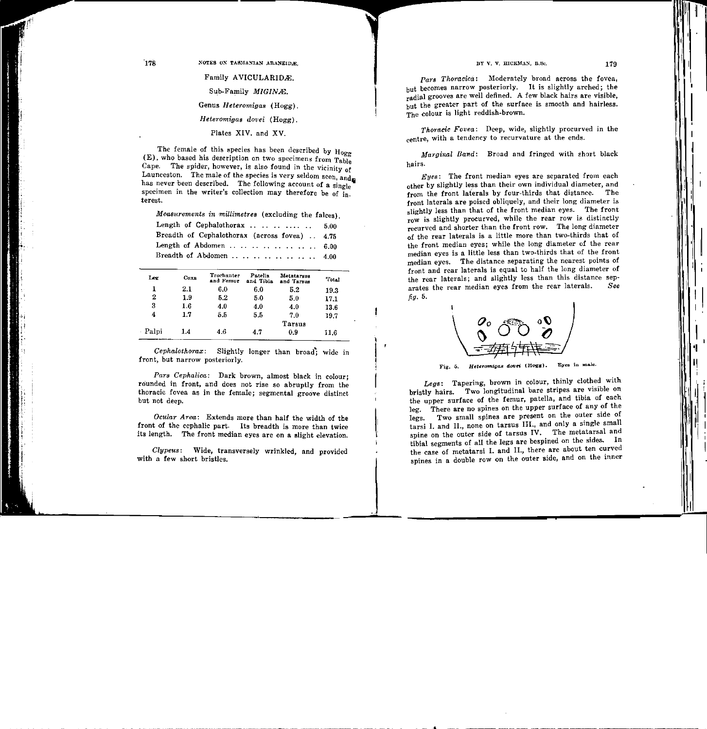Family AVICULARIDÆ. Sub-Family MIGINE. Genus *Heteromigas* (Hogg). *Heteromigas dovei* (Hogg). Plates XIV. and XV.

The female of this species has been described by  $H_{0.0}$ . (E), who based his description on two specimens from  $T_{ab}$ Cape. The spider, however, is also found in the vicinity of Launceston. The male of the species is very seldom seen, and has never been described. The following account of a single specimen in the writer's collection may therefore be of  $\overline{\text{in}}$ . terest.

*Measurements in millimetres* (excluding the falces).

| Length of Cephalothorax $5.00$                |  |
|-----------------------------------------------|--|
| Breadth of Cephalothorax (across fovea)  4.75 |  |
| Length of Abdomen  6.00                       |  |
| Breadth of Abdomen  4.00                      |  |

| Leg   | Coxa    | Trochanter<br>and Femur | Patella<br>and Tibia | Metatarsus<br>and Tarnus | Total |
|-------|---------|-------------------------|----------------------|--------------------------|-------|
| 1     | 2.1     | 6.0                     | 6.0                  | 5.2                      | 19.3  |
| 2     | 1.9     | 5.2                     | 5.0                  | 5.0                      | 17.1  |
| 3     | $1.6\,$ | 4.0                     | 4.0                  | 4.0                      | 13.6  |
| 4     | 1.7     | 5.5                     | 5.5                  | 7.0                      | 19.7  |
|       |         |                         |                      | Tarsus                   |       |
| Palpi | 14      | 4.6                     | 4.7                  | 0.9                      | 11.6  |

*Cephalothorax:* Slightly longer than broad; wide in front, but narrow posteriorly.

*Pars Cephalica:* Dark brown, almost black in colour; rounded in front, and does not rise so abruptly from the thoracic fovea as in the female; segmental groove distinct but not deep.

*Ocular Area:* Extends more than half the width of the front of the cephalic part. Its breadth is more than twice its length. The front median eyes are on a slight elevation.

Clypeus: Wide, transversely wrinkled, and provided with a few short bristles.

Pars Thoracica: Moderately broad across the fovea. but becomes narrow posteriorly. It is slightly arched; the radial grooves are well defined. A few black hairs are visible, but the greater part of the surface is smooth and hairless. The colour is light reddish-brown.

*Thoracic Fovea:* Deep, wide, slightly procurved in the centre, with a tendency to recurvature at the ends.

*Marginal Band:* Broad and fringed with short black hairs.

*Eyes:* The front median eyes are separated from each other by slightly less than their own individual diameter, and from the front laterals by four-thirds that distance. The front laterals are poised obliquely, and their long diameter is slightly less than that of the front median eyes. The front row is slightly procurved, while the rear row is distinctly recurved and shorter than the front row. The long diameter of the rear laterals is a little more than two-thirds that of the front median eyes; while the long diameter of the rear median eyes is a little less than twa-thirds that of the front median eyes. The distance separating the nearest points of front and rear laterals is equal to half the long diameter of the rear laterals; and slightly less than this distance separates the rear median eyes from the rear laterals. *See fig.* 5.



Fig. 5. *Heteromigas dovei* (Hogg). Eyes in male.

*Legs:* Tapering, brown in colour, thinly clothed with bristly hairs. Two longitudinal bare stripes are visible on the upper surface of the femur, patella, and tibia of each leg. There are no spines on the upper surface of any of the legs. Two small spines are present on the outer side of tarsi I. and II., none on tarsus III., and only a single small spine on the outer side of tarsus IV. The metatarsal and tibial segments of all the legs are bespined on the sides. In the case of metatarsi I. and II., there are about ten curved spines in a double row on the outer side, and on the inner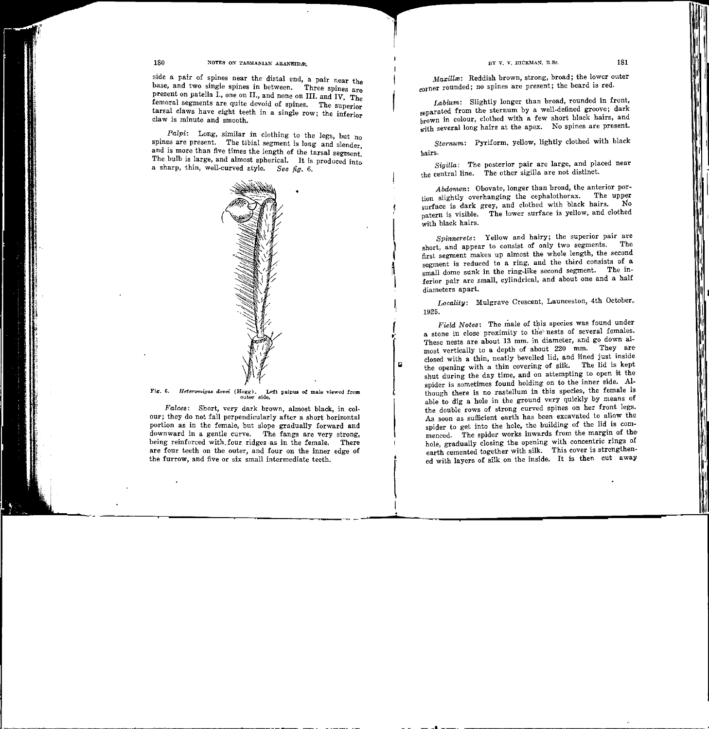I I

I

I ,.

 $\blacksquare$ 

## 180 NOTES ON TASMANIAN ARANEIDAE.

side a pair of spines near the distal end, a pair near the base, and two single spines in between. Three spines are present on patella I., one on II., and none on III. and IV. The femoral segments are quite devoid of spines. The superior tarsal claws have eight teeth in a single row; the inferior claw is minute and smooth.

*Palpi:* Long, similar in clothing to the legs, but no spines are present. The tibial segment is long and slender. and is more than five times the length of the tarsal segment. The bulb is large, and almost spherical. It is produced into a sharp, thin, well-curved style. *See fig.* 6.



Fig. 6. *Heteromigas dovei* (Hogg). Left palpus of male viewed from outer side.

*Falces:* Short, very dark brown, almost black, in colour; they do not fall perpendicularly after a short horizontal portion as in the female, but slope gradually forward and downward in a gentle curve. The fangs are very strong, being reinforced with four ridges as in the female. There are four teeth on the outer, and four on the inner edge of the furrow, and five or six small intermediate teeth.

*Maxillæ*: Reddish brown, strong, broad; the lower outer corner rounded; no spines are present; the beard is red.

*Labium:* Slightly longer than broad, rounded in front, separated from the sternum by a well-defined groove; dark brown in colour, clothed with a few short black hairs, and with several long hairs at the apex. No spines are present.

*Sternum:* Pyriform, yellow, lightly clothed with black hairs.

*Sigilla:* The posterior pair are large, and placed near the central line. The other sigilla are not distinct.

*Abdomen:* Obovate, longer than broad, the anterior portion slightly overhanging the cephalothorax. The upper<br>face is dark grey and clothed with black hairs. No surface is dark grey, and clothed with black hairs. patern is visible. The lower surface is yellow, and clothed with black hairs.

*Spinnerets:* Yellow and hairy; the superior pair are short, and appear to consist of only two segments. The first segment makes up almost the whole length, the second segment is reduced to a ring, and the third consists of a small dome sunk in the ring-like second segment. The inferior pair are small, cylindrical, and about one and a half diameters apart.

Locality: Mulgrave Crescent, Launceston, 4th October, 1925.

*Field Notes:* The male of this species was found under a stone in close proximity to the nests of several females. These nests are about 13 mm. in diameter, and go down almost vertically to a depth of about 220 mm. They are· closed with a thin, neatly bevelled lid, and lined just inside the opening with a thin covering of silk. The lid is kept shut during the day time, and on attempting to open it the spider is sometimes found holding on to the inner side. Although there is no rastellum in this species, the female is able to dig a hole in the ground very quickly by means of the double rows of strong curved spines on her front legs. As soon as sufficient earth has been excavated to allow the spider to get into the hole, the building of the lid is commenced. The spider works inwards from the margin of the hole, gradually closing the opening with concentric rings of earth cemented together with silk. This cover is strengthened with layers of silk on the inside. It is then cut away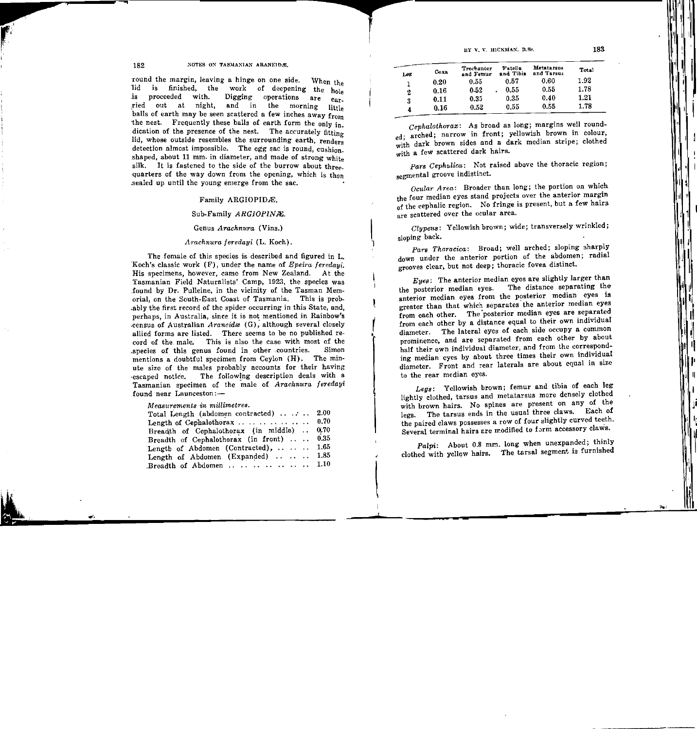#### 182 .: NOTES ON TASMANIAN ARANEID.E,

round the margin, leaving a hinge on one side. When the lid is finished, the work of deepening the hole is proceeded with. Digging operations are  $\frac{1}{c_{a}}$ ried out at night, and in the morning little balls of earth may be seen scattered a few inches away from the nest. Frequently these balls of earth form the only in\_ dication of the presence of the nest. The accurately fitting lid, whose outside resembles the surrounding earth, renders detection almost impossible. The egg sac is round, cushion. shaped, about 11 mm. in diameter, and made of strong white silk. It is fastened to the side of the burrow about threequarters of the way down from the opening, which is then .sealed up until the young emerge from the sac.

## Family ARGIOPIDÆ.

# Sub-Family *ARGIOPINAl.*

# Genus *Arachnura* (Vins.)

### *ATachnura feredayi* (L. Koch).

The female of this species is described and figured in L. "Koch's classic work (F), under the name of *Epeira feredayi.*  His specimens, however, came from New Zealand. At the Tasmanian Field Naturalists' Camp, 1923, the species was .found by Dr. Pulleine, in the vicinity of the Tasman orial, on the South-East Coast of Tasmania. This is .ably the first record of the spider occurring in this State, and, perhaps, in Australia, since it is not mentioned in Rainbow's census of Australian *Araneidæ* (G), although several closely allied forms are listed. There seems to be no published record of the. male. This is also the case with most of the .species of this genus found in other .countries. Simon mentions a doubtful specimen from Ceylon (H). The minute size of the males probably accounts for their having escaped notice. The following description deals with a Tasmanian specimen of the male of *Arachnura feredayi* found near Launceston:---

*Measurements in millimetres.* 

| Total Length (abdomen contracted)  2.00                |  |
|--------------------------------------------------------|--|
| Length of Cephalothorax  0.70                          |  |
| Breadth of Cephalothorax (in middle)  0.70             |  |
| Breadth of Cephalothorax (in front)  0.35              |  |
| Length of Abdomen (Contracted), $\ldots$ $\ldots$ 1.65 |  |
| Length of Abdomen (Expanded)  1.85                     |  |
| Breadth of Abdomen $1.10$                              |  |

| Leg | Coxa | Trochanter<br>and Femur | Patella<br>and Tibia | Metatarsus<br>and Tarsus | Total |
|-----|------|-------------------------|----------------------|--------------------------|-------|
| 1   | 0.20 | 0.55                    | 0.57                 | 0.60                     | 1.92  |
| 2   | 0.16 | 0.52                    | 0.55<br>٠            | 0.55                     | 1.78  |
| 3   | 0.11 | 0.35                    | 0.35                 | 0.40                     | 1.21  |
| 4   | 0.16 | 0.52                    | 0.55                 | 0.55                     | 1.78  |

*Cephalothorax:* As broad as long; margins well rounded; arched; narrow in front; yellowish brown in colour, with dark brown sides and a dark median stripe; clothed with a few scattered dark hairs.

*Pars Cephalica:* Not raised above the thoracic region; segmental groove indistinct.

*Ocular Area:* Broader than long; the portion on which the four median eyes stand projects over the anterior margin of the cephalic region. No fringe is present, but a few hairs <sub>are</sub> scattered over the ocular area.

*Clypeus:* Yellowish brown; wide; transversely wrinkled; sloping back.

I,

r '

 $\mathbf{L}$ 

*Pars Thoracica:* Broad; well arched; sloping 3harply down under the anterior portion of the abdomen; radial grooves clear, but not deep; thoracic fovea distinct.

*Eyes*: The anterior median eyes are slightly larger than<br>nosterior median eyes. The distance separating the the posterior median eyes. anterior median eyes from the posterior median eyes is greater than that which separates the anterior median eyes from each other. The 'posterior median eyes are separated from each other by a distance equal to their own individual diameter. The lateral eyes of each side occupy a common prominence, and are separated from each other by about half their own individual diameter, and from the corresponding median eyes by about three times their own individual diameter. Front and rear laterals are about equal in size to the rear median eyes.

*Legs:* Yellowish brown; femur and tibia of each leg lightly clothed, tarsus and metatarsus more densely clothed with brown hairs. No spines are present on any of the legs. The tarsus ends in the usual three claws. Each of the paired claws possesses a row of four slightly curved teeth. Several terminal hairs are modified to form accessory claws.

*Palpi:* About 0.8 mm. long when unexpanded; thinly clothed with yellqw hairs. The tarsal segment is furnished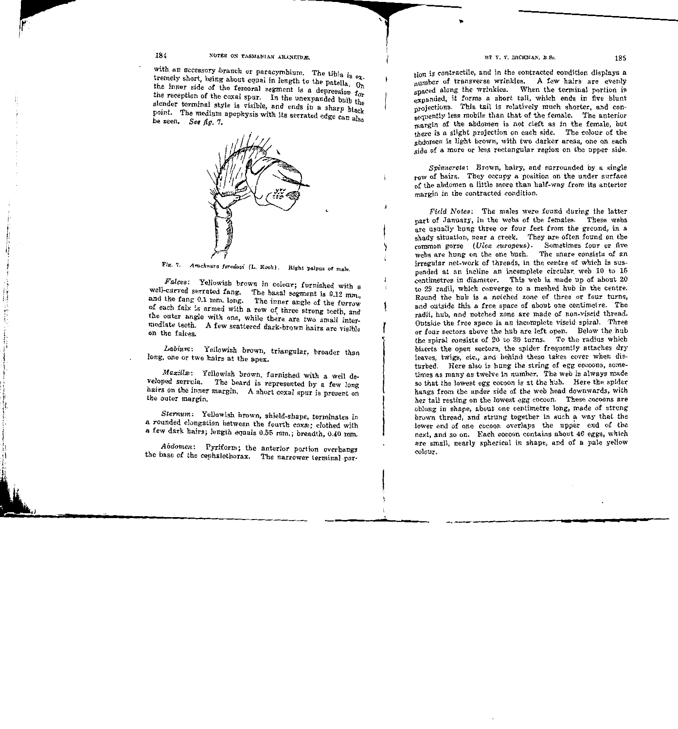# 184 **NOTES ON TASMANIAN ARANEIDE.**

with an accessory branch or paracymbium. The tibia is  $e_{\overline{x}}$ . tremely short, being about equal in length to the patella.  $O_n$ the inner side of the femoral segment is a depression for the reception of the coxal spur. In the unexpanded bulb the slender terminal style is visible, and ends in a sharp black point. The medium apophysis with its serrated edge can also be seen. *See fig. 7*.



'

1 '

Fig. 7. *Arachnura feredayi* (L. Koch). Right palpus of male.

*Falces:* Yellowish brown in colour; furnished with a well-curved serrated fang. The basal segment is 0.12 mm. and the fang 0.1 mm. long. The inner angle of the furrow of each falx is armed with a row of three strong teeth, and the outer angle with one, while there are two small intermediate teeth. A few scattered dark-brown hairs are visible on the falces.

*Labium:* Yellowish brown, triangular, broader than long, one or two hairs at the apex.

*Maxillæ*: Yellowish brown, furnished with a well developed serrula. The beard is represented by a few long hairs on the inner margin. A short coxal spur is present on the outer margin.

*Sternum:* Yellowish brown, shield-shape, terminates in a rounded elongation between the fourth coxæ: clothed with <sup>a</sup>few dark hairs; length equals 0.55 mm.; breadth, 0.40 mm.

*Abdomen..:* Pyriform; the anterior portion overhangs the base of the cephalothorax. The narrower terminal-partion is contractile, and in the contracted condition displays a number of transverse wrinkles. A few hairs are evenly spaced along the wrinkles. When the terminal portion is expanded, it forms a short tail, which ends in five blunt projections. This tail is relatively much shorter, and consequently less mobile than that of the female. The anterior margin of the abdomen is not cleft as in the female, but there is a slight projection on each side. The colour of the abdomen is light brown, with two darker areas, one on each side of a more or less rectangular region on the upper side.

*Spinnerets:* Brown, hairy, and surrounded by a single row of hairs. They occupy a position on the under surface of the abdomen a little more than half-way from its anterior margin in the contracted condition.

*Field Notes:* The males were found during the latter part of January, in the webs *<>f* the females. These webs are usually hung three or four feet from the ground, in a shady situation, near a creek. They are often found on the common gorse *(Ulex europeus)*. Sometimes four or five webs are hung on the one bush. The snare consists of an irregular net-work of threads, in the centre of which is suspended at an incline an incomplete circular. web 10 to 16 centimetres in diameter. This web is made up of about 20 to 29 radii, which converge to a meshed hub in the centre. Round the hub is a notched zone of three or four turns, and outside this a free space of about one centimetre. The radii, hub, and notched zone are made of non-viscid thread. Outside the free space is an incomplete viscid spiral. Three or four sectors above the hub are left open. Below the hub the spiral consists of 20 to 30 turns. To the radius which bisects the open sectors, the spider frequently attaches dry leaves, twigs, etc., and behind these takes cover when disturbed. Here also is hung the string of egg cocoons, sometimes as many as twelve in number. The web is always made so that the lowest egg cocoon is at the hub. Here the spider hangs from the under side of the web head downwards, with her tail resting on the lowest egg cocoon. These cocoons are oblong in shape, about one centimetre long, made of strong brown thread, and strung together in such a way that the lower end of one cocoon overlaps the upper end of the next, and so on. Each cocoon contains about 46 eggs, which are small, nearly spherical in shape, and of a pale yellow colour.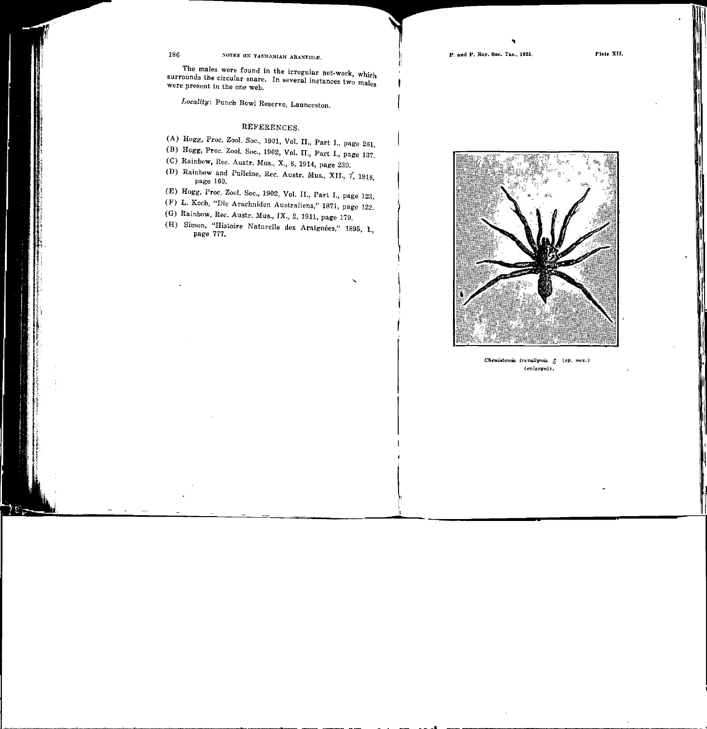P. and P. Roy. Soc. Tas., 1925.

The males were found in the irregular net.work, Which surrounds the circular snare. In several instances two males were present in the one web.

Locality: Punch Bowl Reserve, Launceston.

#### REFERENCES.

- (A) Hogg, Proc. Zoo!. Soc., 1901, Vol. II., Part I., page 261.
- (B) Hogg, Proc. Zool. Soc., 1902, Vol. II., Part 1., page 137.
- (C) Rainbow, Rec. Austr. Mus., 8, 1914, page 239.
- (D) Rainbow and Pulleine, Rec. Austr. Mus., XII., 7, 1918, page 160.
- (E) Hogg, Proc. Zool. Soc., 1902, Vol. II., Part 1., page 123.
- (F) L. Koch, "Die Arachniden Australiens," 1871, page 122.
- (G) Rainbow, Rec. Austr. Mus., IX., 2, 1911, page 179.
- (H) Simon, "Histoire Naturelle des Araignées," 1895, I., page 777.

'

 $\mathcal{H}$ 



Cheni8toniQ, trevaUynia. *t* (sp, nov.) (enlarged).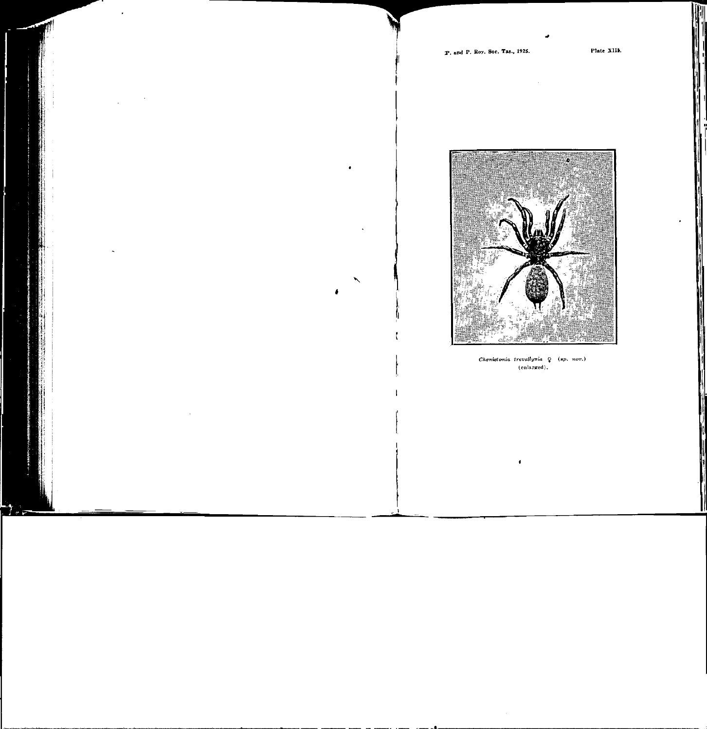Plate XIII.



Chenistonia trevallynia Q (sp. nov.) (enlarged).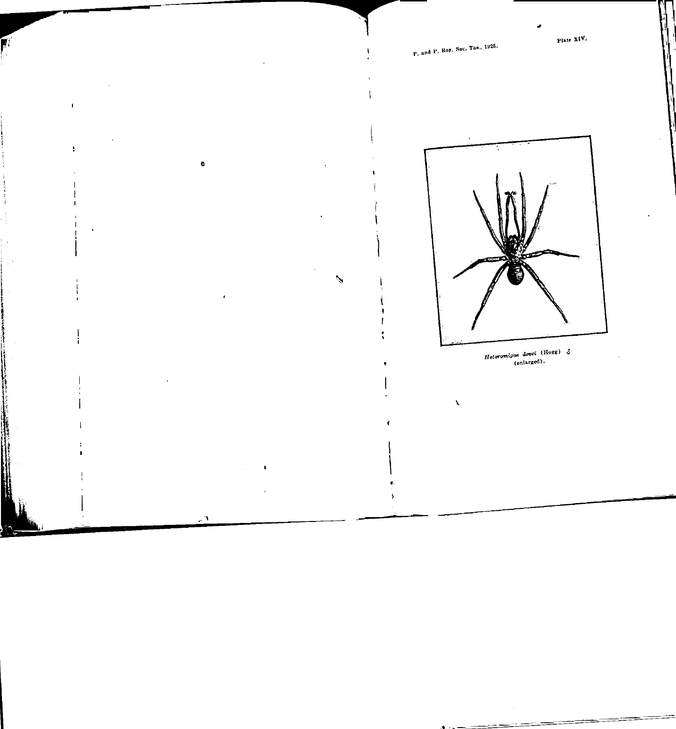P. and P. Roy. Soc. Tas., 1925.



 $\bullet$ 

 $\mathsf{l}$ J.

Ç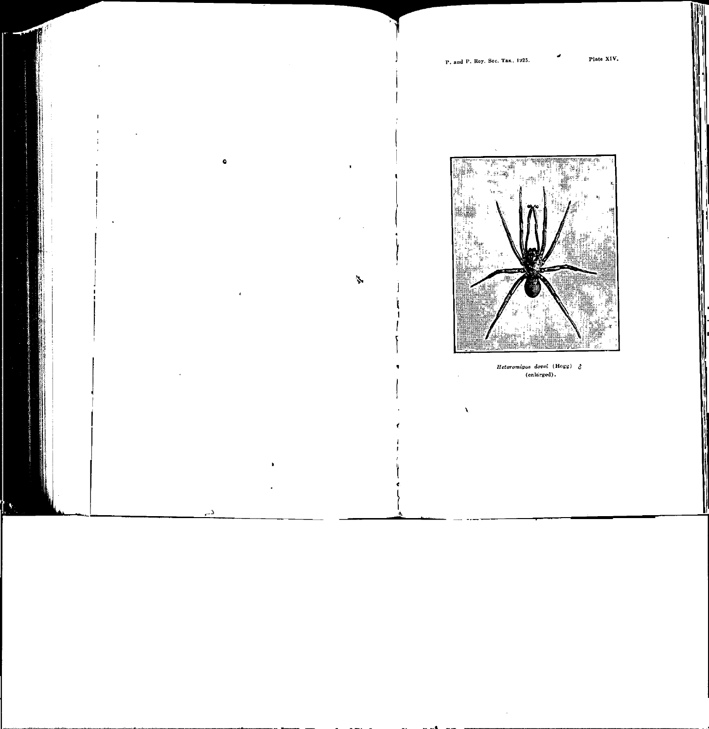Plate XIV.



Heteromigas dovei (Hogg)  $\xi$ (enlarged).